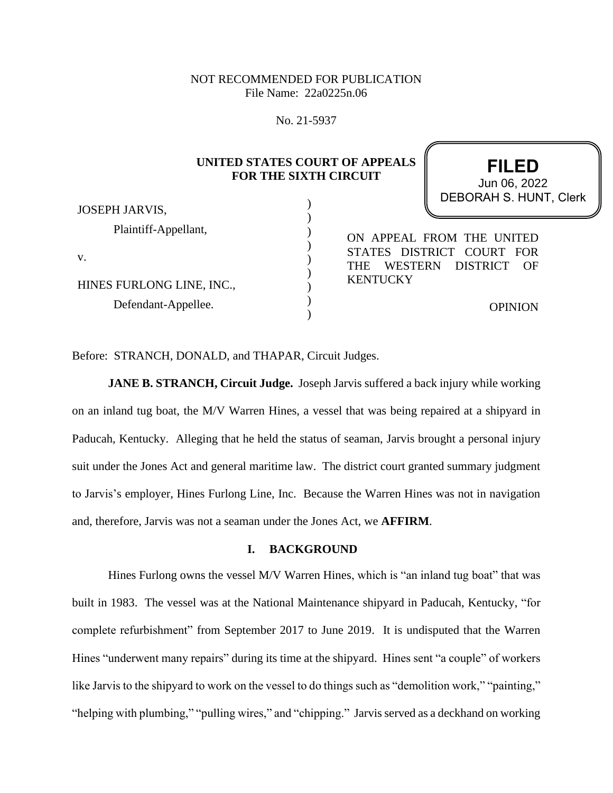# NOT RECOMMENDED FOR PUBLICATION File Name: 22a0225n.06

No. 21-5937

| JOSEPH JARVIS,            | UNITED STATES COURT OF APPEALS<br><b>FOR THE SIXTH CIRCUIT</b> | <b>FILED</b><br>Jun 06, 2022<br><b>DEBORAH S. HUNT, Clerk</b> |  |
|---------------------------|----------------------------------------------------------------|---------------------------------------------------------------|--|
| Plaintiff-Appellant,      |                                                                |                                                               |  |
|                           | ON APPEAL FROM THE UNITED                                      |                                                               |  |
| v.                        |                                                                | STATES DISTRICT COURT FOR                                     |  |
|                           | <b>WESTERN</b><br><b>THE</b>                                   | <b>DISTRICT</b><br>OF                                         |  |
| HINES FURLONG LINE, INC., | <b>KENTUCKY</b>                                                |                                                               |  |
| Defendant-Appellee.       |                                                                | <b>OPINION</b>                                                |  |
|                           |                                                                |                                                               |  |

Before: STRANCH, DONALD, and THAPAR, Circuit Judges.

**JANE B. STRANCH, Circuit Judge.** Joseph Jarvis suffered a back injury while working on an inland tug boat, the M/V Warren Hines, a vessel that was being repaired at a shipyard in Paducah, Kentucky. Alleging that he held the status of seaman, Jarvis brought a personal injury suit under the Jones Act and general maritime law. The district court granted summary judgment to Jarvis's employer, Hines Furlong Line, Inc. Because the Warren Hines was not in navigation and, therefore, Jarvis was not a seaman under the Jones Act, we **AFFIRM**.

## **I. BACKGROUND**

Hines Furlong owns the vessel M/V Warren Hines, which is "an inland tug boat" that was built in 1983. The vessel was at the National Maintenance shipyard in Paducah, Kentucky, "for complete refurbishment" from September 2017 to June 2019. It is undisputed that the Warren Hines "underwent many repairs" during its time at the shipyard. Hines sent "a couple" of workers like Jarvis to the shipyard to work on the vessel to do things such as "demolition work," "painting," "helping with plumbing," "pulling wires," and "chipping." Jarvis served as a deckhand on working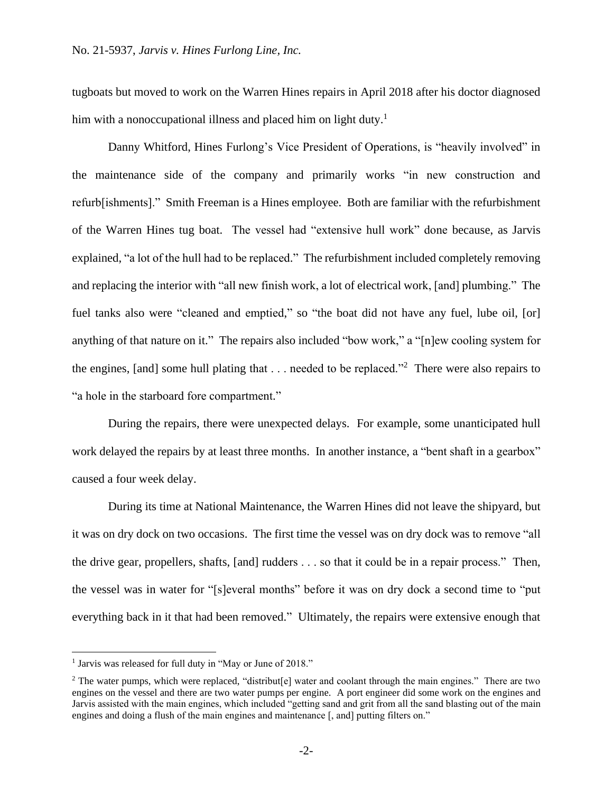tugboats but moved to work on the Warren Hines repairs in April 2018 after his doctor diagnosed him with a nonoccupational illness and placed him on light duty.<sup>1</sup>

Danny Whitford, Hines Furlong's Vice President of Operations, is "heavily involved" in the maintenance side of the company and primarily works "in new construction and refurb[ishments]." Smith Freeman is a Hines employee. Both are familiar with the refurbishment of the Warren Hines tug boat. The vessel had "extensive hull work" done because, as Jarvis explained, "a lot of the hull had to be replaced." The refurbishment included completely removing and replacing the interior with "all new finish work, a lot of electrical work, [and] plumbing." The fuel tanks also were "cleaned and emptied," so "the boat did not have any fuel, lube oil, [or] anything of that nature on it." The repairs also included "bow work," a "[n]ew cooling system for the engines, [and] some hull plating that  $\dots$  needed to be replaced."<sup>2</sup> There were also repairs to "a hole in the starboard fore compartment."

During the repairs, there were unexpected delays. For example, some unanticipated hull work delayed the repairs by at least three months. In another instance, a "bent shaft in a gearbox" caused a four week delay.

During its time at National Maintenance, the Warren Hines did not leave the shipyard, but it was on dry dock on two occasions. The first time the vessel was on dry dock was to remove "all the drive gear, propellers, shafts, [and] rudders . . . so that it could be in a repair process." Then, the vessel was in water for "[s]everal months" before it was on dry dock a second time to "put everything back in it that had been removed." Ultimately, the repairs were extensive enough that

<sup>&</sup>lt;sup>1</sup> Jarvis was released for full duty in "May or June of 2018."

<sup>&</sup>lt;sup>2</sup> The water pumps, which were replaced, "distribut[e] water and coolant through the main engines." There are two engines on the vessel and there are two water pumps per engine. A port engineer did some work on the engines and Jarvis assisted with the main engines, which included "getting sand and grit from all the sand blasting out of the main engines and doing a flush of the main engines and maintenance [, and] putting filters on."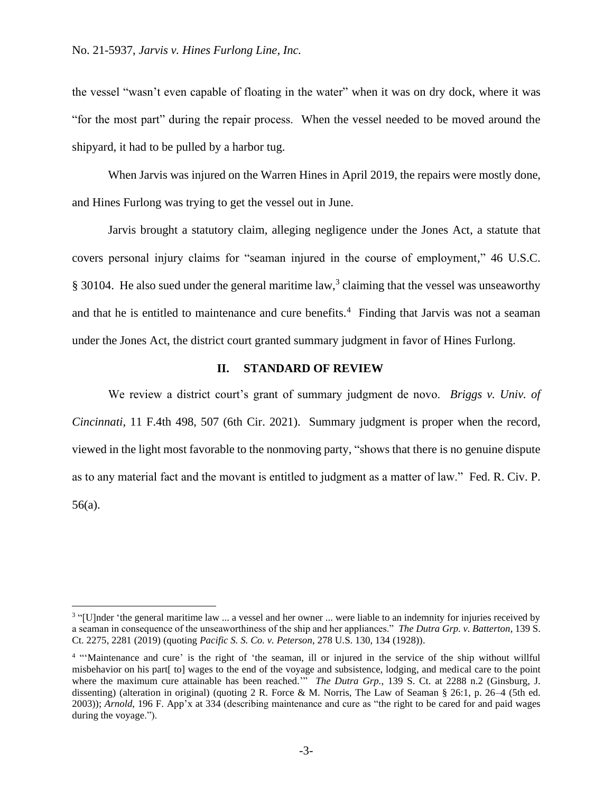the vessel "wasn't even capable of floating in the water" when it was on dry dock, where it was "for the most part" during the repair process. When the vessel needed to be moved around the shipyard, it had to be pulled by a harbor tug.

When Jarvis was injured on the Warren Hines in April 2019, the repairs were mostly done, and Hines Furlong was trying to get the vessel out in June.

Jarvis brought a statutory claim, alleging negligence under the Jones Act, a statute that covers personal injury claims for "seaman injured in the course of employment," 46 U.S.C.  $\S 30104$ . He also sued under the general maritime law,<sup>3</sup> claiming that the vessel was unseaworthy and that he is entitled to maintenance and cure benefits.<sup>4</sup> Finding that Jarvis was not a seaman under the Jones Act, the district court granted summary judgment in favor of Hines Furlong.

## **II. STANDARD OF REVIEW**

We review a district court's grant of summary judgment de novo. *Briggs v. Univ. of Cincinnati*, 11 F.4th 498, 507 (6th Cir. 2021). Summary judgment is proper when the record, viewed in the light most favorable to the nonmoving party, "shows that there is no genuine dispute as to any material fact and the movant is entitled to judgment as a matter of law." Fed. R. Civ. P. 56(a).

<sup>&</sup>lt;sup>3</sup> "[U]nder 'the general maritime law ... a vessel and her owner ... were liable to an indemnity for injuries received by a seaman in consequence of the unseaworthiness of the ship and her appliances." *The Dutra Grp. v. Batterton*, 139 S. Ct. 2275, 2281 (2019) (quoting *Pacific S. S. Co. v. Peterson*, 278 U.S. 130, 134 (1928)).

<sup>&</sup>lt;sup>4</sup> "Maintenance and cure' is the right of 'the seaman, ill or injured in the service of the ship without willful misbehavior on his part[ to] wages to the end of the voyage and subsistence, lodging, and medical care to the point where the maximum cure attainable has been reached.<sup>""</sup> *The Dutra Grp.*, 139 S. Ct. at 2288 n.2 (Ginsburg, J. dissenting) (alteration in original) (quoting 2 R. Force & M. Norris, The Law of Seaman § 26:1, p. 26–4 (5th ed. 2003)); *Arnold*, 196 F. App'x at 334 (describing maintenance and cure as "the right to be cared for and paid wages during the voyage.").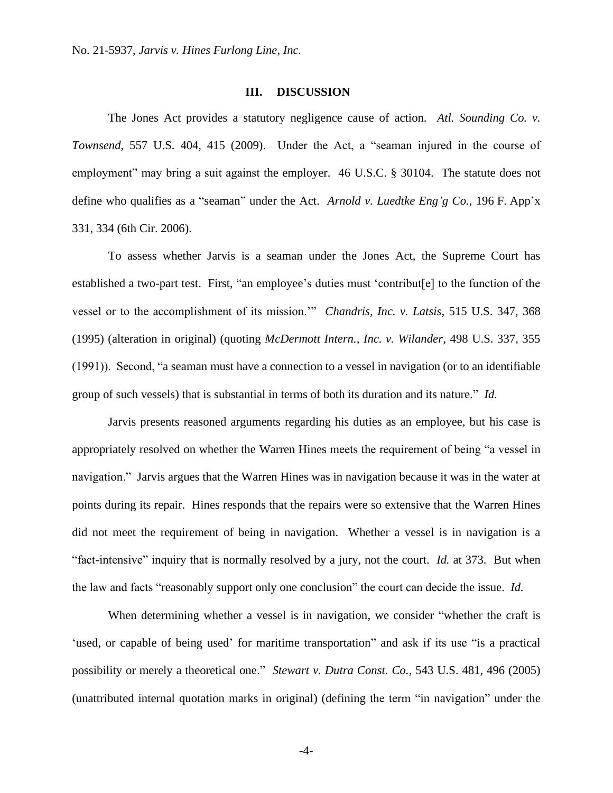### **III. DISCUSSION**

The Jones Act provides a statutory negligence cause of action. *Atl. Sounding Co. v. Townsend*, 557 U.S. 404, 415 (2009). Under the Act, a "seaman injured in the course of employment" may bring a suit against the employer. 46 U.S.C. § 30104. The statute does not define who qualifies as a "seaman" under the Act. *Arnold v. Luedtke Eng'g Co.*, 196 F. App'x 331, 334 (6th Cir. 2006).

To assess whether Jarvis is a seaman under the Jones Act, the Supreme Court has established a two-part test. First, "an employee's duties must 'contribut[e] to the function of the vessel or to the accomplishment of its mission.'" *Chandris, Inc. v. Latsis*, 515 U.S. 347, 368 (1995) (alteration in original) (quoting *McDermott Intern., Inc. v. Wilander*, 498 U.S. 337, 355 (1991)). Second, "a seaman must have a connection to a vessel in navigation (or to an identifiable group of such vessels) that is substantial in terms of both its duration and its nature." *Id.* 

Jarvis presents reasoned arguments regarding his duties as an employee, but his case is appropriately resolved on whether the Warren Hines meets the requirement of being "a vessel in navigation." Jarvis argues that the Warren Hines was in navigation because it was in the water at points during its repair. Hines responds that the repairs were so extensive that the Warren Hines did not meet the requirement of being in navigation. Whether a vessel is in navigation is a "fact-intensive" inquiry that is normally resolved by a jury, not the court. *Id.* at 373. But when the law and facts "reasonably support only one conclusion" the court can decide the issue. *Id.*

When determining whether a vessel is in navigation, we consider "whether the craft is 'used, or capable of being used' for maritime transportation" and ask if its use "is a practical possibility or merely a theoretical one." *Stewart v. Dutra Const. Co.*, 543 U.S. 481, 496 (2005) (unattributed internal quotation marks in original) (defining the term "in navigation" under the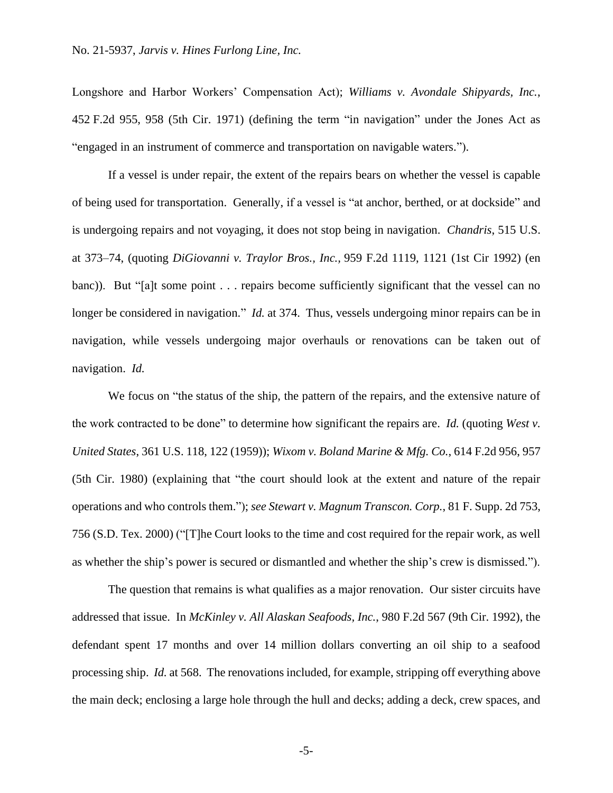Longshore and Harbor Workers' Compensation Act); *Williams v. Avondale Shipyards, Inc.*, 452 F.2d 955, 958 (5th Cir. 1971) (defining the term "in navigation" under the Jones Act as "engaged in an instrument of commerce and transportation on navigable waters.").

If a vessel is under repair, the extent of the repairs bears on whether the vessel is capable of being used for transportation. Generally, if a vessel is "at anchor, berthed, or at dockside" and is undergoing repairs and not voyaging, it does not stop being in navigation. *Chandris*, 515 U.S. at 373–74, (quoting *DiGiovanni v. Traylor Bros., Inc.,* 959 F.2d 1119, 1121 (1st Cir 1992) (en banc)). But "[a]t some point . . . repairs become sufficiently significant that the vessel can no longer be considered in navigation." *Id.* at 374. Thus, vessels undergoing minor repairs can be in navigation, while vessels undergoing major overhauls or renovations can be taken out of navigation. *Id.*

We focus on "the status of the ship, the pattern of the repairs, and the extensive nature of the work contracted to be done" to determine how significant the repairs are. *Id.* (quoting *West v. United States*, 361 U.S. 118, 122 (1959)); *Wixom v. Boland Marine & Mfg. Co.*, 614 F.2d 956, 957 (5th Cir. 1980) (explaining that "the court should look at the extent and nature of the repair operations and who controls them."); *see Stewart v. Magnum Transcon. Corp.*, 81 F. Supp. 2d 753, 756 (S.D. Tex. 2000) ("[T]he Court looks to the time and cost required for the repair work, as well as whether the ship's power is secured or dismantled and whether the ship's crew is dismissed.").

The question that remains is what qualifies as a major renovation. Our sister circuits have addressed that issue. In *McKinley v. All Alaskan Seafoods, Inc.*, 980 F.2d 567 (9th Cir. 1992), the defendant spent 17 months and over 14 million dollars converting an oil ship to a seafood processing ship. *Id.* at 568. The renovations included, for example, stripping off everything above the main deck; enclosing a large hole through the hull and decks; adding a deck, crew spaces, and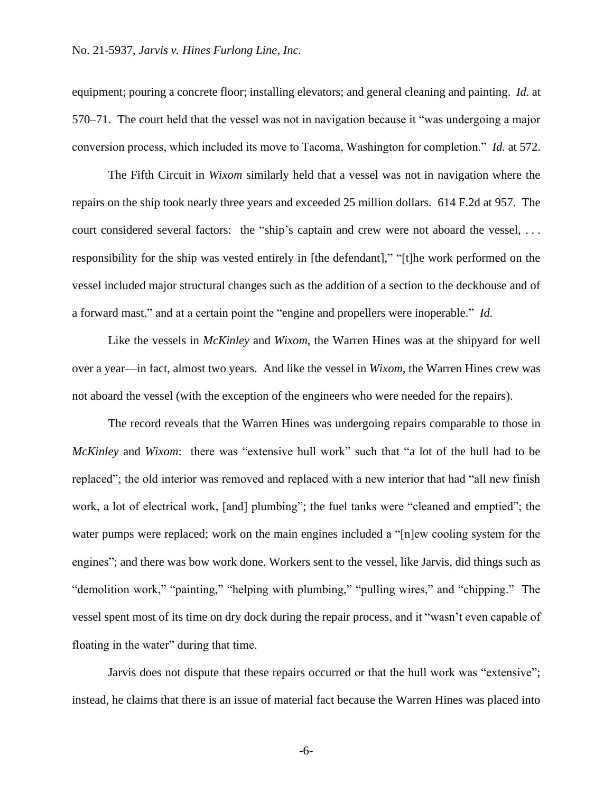equipment; pouring a concrete floor; installing elevators; and general cleaning and painting. *Id.* at 570–71. The court held that the vessel was not in navigation because it "was undergoing a major conversion process, which included its move to Tacoma, Washington for completion." *Id.* at 572.

The Fifth Circuit in *Wixom* similarly held that a vessel was not in navigation where the repairs on the ship took nearly three years and exceeded 25 million dollars. 614 F.2d at 957. The court considered several factors: the "ship's captain and crew were not aboard the vessel, ... responsibility for the ship was vested entirely in [the defendant]," "[t]he work performed on the vessel included major structural changes such as the addition of a section to the deckhouse and of a forward mast," and at a certain point the "engine and propellers were inoperable." *Id.*

Like the vessels in *McKinley* and *Wixom*, the Warren Hines was at the shipyard for well over a year—in fact, almost two years. And like the vessel in *Wixom*, the Warren Hines crew was not aboard the vessel (with the exception of the engineers who were needed for the repairs).

The record reveals that the Warren Hines was undergoing repairs comparable to those in *McKinley* and *Wixom*: there was "extensive hull work" such that "a lot of the hull had to be replaced"; the old interior was removed and replaced with a new interior that had "all new finish work, a lot of electrical work, [and] plumbing"; the fuel tanks were "cleaned and emptied"; the water pumps were replaced; work on the main engines included a "[n]ew cooling system for the engines"; and there was bow work done. Workers sent to the vessel, like Jarvis, did things such as "demolition work," "painting," "helping with plumbing," "pulling wires," and "chipping." The vessel spent most of its time on dry dock during the repair process, and it "wasn't even capable of floating in the water" during that time.

Jarvis does not dispute that these repairs occurred or that the hull work was "extensive"; instead, he claims that there is an issue of material fact because the Warren Hines was placed into

-6-